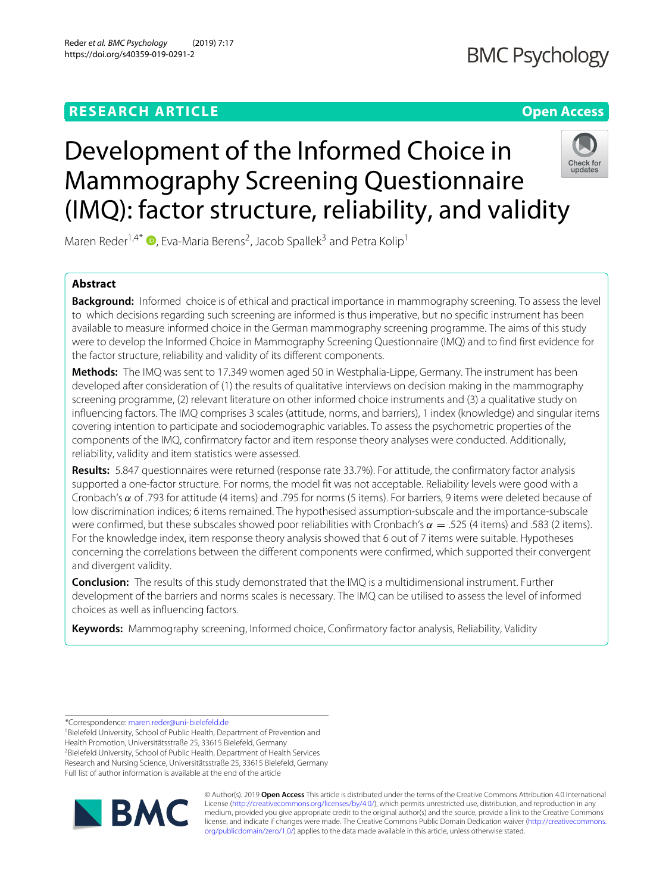## **RESEARCH ARTICLE Open Access**

## **BMC Psychology**

# Development of the Informed Choice in Mammography Screening Questionnaire (IMQ): factor structure, reliability, and validity



Maren Reder<sup>1[,](http://orcid.org/0000-0001-8842-581X)4\*</sup>  $\Phi$ , Eva-Maria Berens<sup>2</sup>, Jacob Spallek<sup>3</sup> and Petra Kolip<sup>1</sup>

## **Abstract**

**Background:** Informed choice is of ethical and practical importance in mammography screening. To assess the level to which decisions regarding such screening are informed is thus imperative, but no specific instrument has been available to measure informed choice in the German mammography screening programme. The aims of this study were to develop the Informed Choice in Mammography Screening Questionnaire (IMQ) and to find first evidence for the factor structure, reliability and validity of its different components.

**Methods:** The IMQ was sent to 17.349 women aged 50 in Westphalia-Lippe, Germany. The instrument has been developed after consideration of (1) the results of qualitative interviews on decision making in the mammography screening programme, (2) relevant literature on other informed choice instruments and (3) a qualitative study on influencing factors. The IMQ comprises 3 scales (attitude, norms, and barriers), 1 index (knowledge) and singular items covering intention to participate and sociodemographic variables. To assess the psychometric properties of the components of the IMQ, confirmatory factor and item response theory analyses were conducted. Additionally, reliability, validity and item statistics were assessed.

**Results:** 5.847 questionnaires were returned (response rate 33.7%). For attitude, the confirmatory factor analysis supported a one-factor structure. For norms, the model fit was not acceptable. Reliability levels were good with a Cronbach's α of .793 for attitude (4 items) and .795 for norms (5 items). For barriers, 9 items were deleted because of low discrimination indices; 6 items remained. The hypothesised assumption-subscale and the importance-subscale were confirmed, but these subscales showed poor reliabilities with Cronbach's  $\alpha = 0.525$  (4 items) and 0.583 (2 items). For the knowledge index, item response theory analysis showed that 6 out of 7 items were suitable. Hypotheses concerning the correlations between the different components were confirmed, which supported their convergent and divergent validity.

**Conclusion:** The results of this study demonstrated that the IMQ is a multidimensional instrument. Further development of the barriers and norms scales is necessary. The IMQ can be utilised to assess the level of informed choices as well as influencing factors.

**Keywords:** Mammography screening, Informed choice, Confirmatory factor analysis, Reliability, Validity

\*Correspondence: [maren.reder@uni-bielefeld.de](mailto: maren.reder@uni-bielefeld.de)

1Bielefeld University, School of Public Health, Department of Prevention and Health Promotion, Universitätsstraße 25, 33615 Bielefeld, Germany 2Bielefeld University, School of Public Health, Department of Health Services Research and Nursing Science, Universitätsstraße 25, 33615 Bielefeld, Germany Full list of author information is available at the end of the article



© Author(s). 2019 **Open Access** This article is distributed under the terms of the Creative Commons Attribution 4.0 International License [\(http://creativecommons.org/licenses/by/4.0/\)](http://creativecommons.org/licenses/by/4.0/), which permits unrestricted use, distribution, and reproduction in any medium, provided you give appropriate credit to the original author(s) and the source, provide a link to the Creative Commons license, and indicate if changes were made. The Creative Commons Public Domain Dedication waiver [\(http://creativecommons.](http://creativecommons.org/publicdomain/zero/1.0/) [org/publicdomain/zero/1.0/\)](http://creativecommons.org/publicdomain/zero/1.0/) applies to the data made available in this article, unless otherwise stated.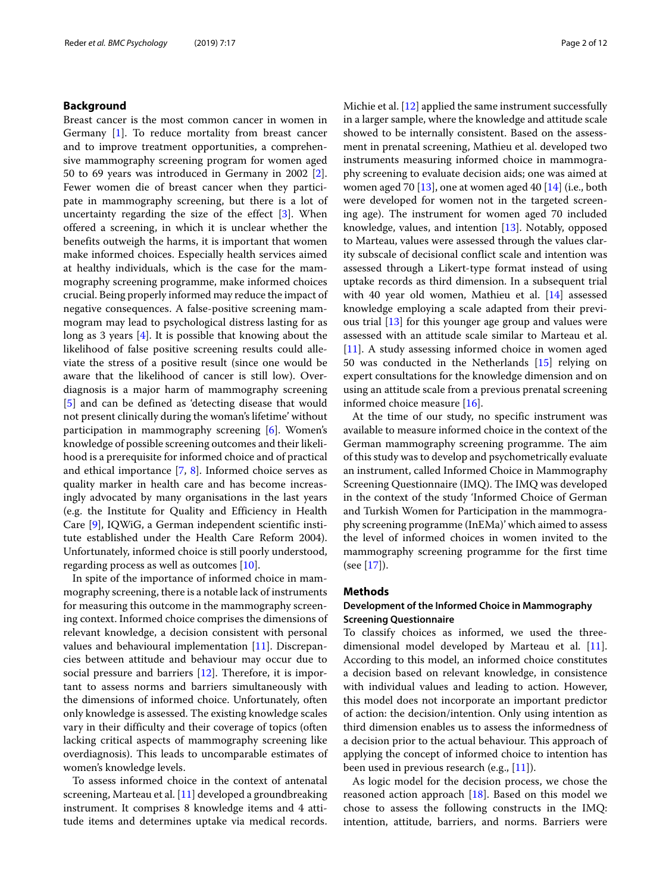## **Background**

Breast cancer is the most common cancer in women in Germany [\[1\]](#page-10-0). To reduce mortality from breast cancer and to improve treatment opportunities, a comprehensive mammography screening program for women aged 50 to 69 years was introduced in Germany in 2002 [\[2\]](#page-10-1). Fewer women die of breast cancer when they participate in mammography screening, but there is a lot of uncertainty regarding the size of the effect [\[3\]](#page-10-2). When offered a screening, in which it is unclear whether the benefits outweigh the harms, it is important that women make informed choices. Especially health services aimed at healthy individuals, which is the case for the mammography screening programme, make informed choices crucial. Being properly informed may reduce the impact of negative consequences. A false-positive screening mammogram may lead to psychological distress lasting for as long as 3 years [\[4\]](#page-10-3). It is possible that knowing about the likelihood of false positive screening results could alleviate the stress of a positive result (since one would be aware that the likelihood of cancer is still low). Overdiagnosis is a major harm of mammography screening [\[5\]](#page-10-4) and can be defined as 'detecting disease that would not present clinically during the woman's lifetime' without participation in mammography screening [\[6\]](#page-10-5). Women's knowledge of possible screening outcomes and their likelihood is a prerequisite for informed choice and of practical and ethical importance [\[7,](#page-10-6) [8\]](#page-10-7). Informed choice serves as quality marker in health care and has become increasingly advocated by many organisations in the last years (e.g. the Institute for Quality and Efficiency in Health Care [\[9\]](#page-10-8), IQWiG, a German independent scientific institute established under the Health Care Reform 2004). Unfortunately, informed choice is still poorly understood, regarding process as well as outcomes [\[10\]](#page-10-9).

In spite of the importance of informed choice in mammography screening, there is a notable lack of instruments for measuring this outcome in the mammography screening context. Informed choice comprises the dimensions of relevant knowledge, a decision consistent with personal values and behavioural implementation [\[11\]](#page-10-10). Discrepancies between attitude and behaviour may occur due to social pressure and barriers [\[12\]](#page-10-11). Therefore, it is important to assess norms and barriers simultaneously with the dimensions of informed choice. Unfortunately, often only knowledge is assessed. The existing knowledge scales vary in their difficulty and their coverage of topics (often lacking critical aspects of mammography screening like overdiagnosis). This leads to uncomparable estimates of women's knowledge levels.

To assess informed choice in the context of antenatal screening, Marteau et al. [\[11\]](#page-10-10) developed a groundbreaking instrument. It comprises 8 knowledge items and 4 attitude items and determines uptake via medical records.

Michie et al. [\[12\]](#page-10-11) applied the same instrument successfully in a larger sample, where the knowledge and attitude scale showed to be internally consistent. Based on the assessment in prenatal screening, Mathieu et al. developed two instruments measuring informed choice in mammography screening to evaluate decision aids; one was aimed at women aged 70 [\[13\]](#page-10-12), one at women aged 40 [\[14\]](#page-10-13) (i.e., both were developed for women not in the targeted screening age). The instrument for women aged 70 included knowledge, values, and intention [\[13\]](#page-10-12). Notably, opposed to Marteau, values were assessed through the values clarity subscale of decisional conflict scale and intention was assessed through a Likert-type format instead of using uptake records as third dimension. In a subsequent trial with 40 year old women, Mathieu et al. [\[14\]](#page-10-13) assessed knowledge employing a scale adapted from their previous trial [\[13\]](#page-10-12) for this younger age group and values were assessed with an attitude scale similar to Marteau et al. [\[11\]](#page-10-10). A study assessing informed choice in women aged 50 was conducted in the Netherlands [\[15\]](#page-10-14) relying on expert consultations for the knowledge dimension and on using an attitude scale from a previous prenatal screening informed choice measure [\[16\]](#page-10-15).

At the time of our study, no specific instrument was available to measure informed choice in the context of the German mammography screening programme. The aim of this study was to develop and psychometrically evaluate an instrument, called Informed Choice in Mammography Screening Questionnaire (IMQ). The IMQ was developed in the context of the study 'Informed Choice of German and Turkish Women for Participation in the mammography screening programme (InEMa)' which aimed to assess the level of informed choices in women invited to the mammography screening programme for the first time (see [\[17\]](#page-10-16)).

## **Methods**

## **Development of the Informed Choice in Mammography Screening Questionnaire**

To classify choices as informed, we used the threedimensional model developed by Marteau et al. [\[11\]](#page-10-10). According to this model, an informed choice constitutes a decision based on relevant knowledge, in consistence with individual values and leading to action. However, this model does not incorporate an important predictor of action: the decision/intention. Only using intention as third dimension enables us to assess the informedness of a decision prior to the actual behaviour. This approach of applying the concept of informed choice to intention has been used in previous research (e.g., [\[11\]](#page-10-10)).

As logic model for the decision process, we chose the reasoned action approach  $[18]$ . Based on this model we chose to assess the following constructs in the IMQ: intention, attitude, barriers, and norms. Barriers were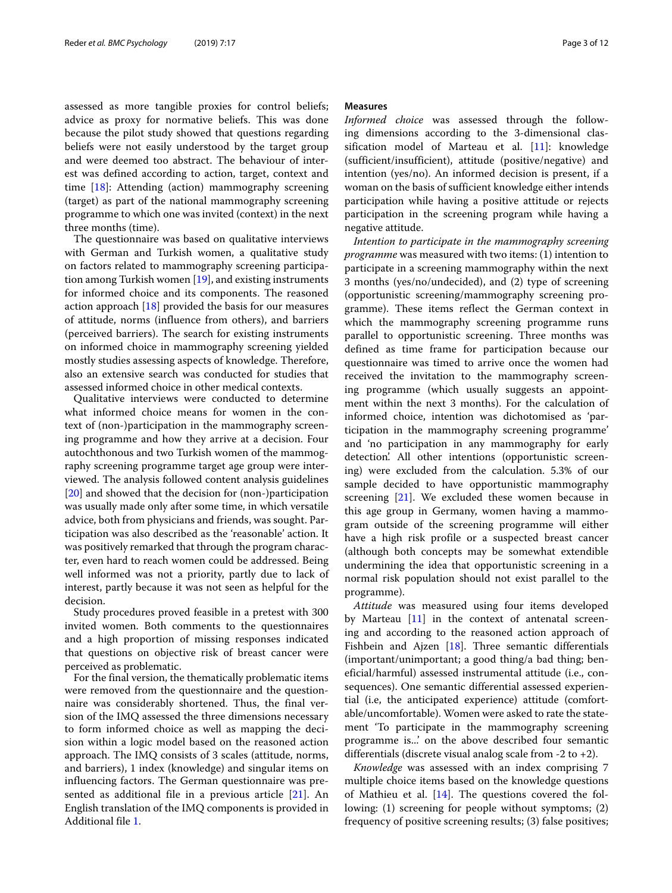assessed as more tangible proxies for control beliefs; advice as proxy for normative beliefs. This was done because the pilot study showed that questions regarding beliefs were not easily understood by the target group and were deemed too abstract. The behaviour of interest was defined according to action, target, context and time [\[18\]](#page-10-17): Attending (action) mammography screening (target) as part of the national mammography screening programme to which one was invited (context) in the next three months (time).

The questionnaire was based on qualitative interviews with German and Turkish women, a qualitative study on factors related to mammography screening participation among Turkish women [\[19\]](#page-10-18), and existing instruments for informed choice and its components. The reasoned action approach  $[18]$  provided the basis for our measures of attitude, norms (influence from others), and barriers (perceived barriers). The search for existing instruments on informed choice in mammography screening yielded mostly studies assessing aspects of knowledge. Therefore, also an extensive search was conducted for studies that assessed informed choice in other medical contexts.

Qualitative interviews were conducted to determine what informed choice means for women in the context of (non-)participation in the mammography screening programme and how they arrive at a decision. Four autochthonous and two Turkish women of the mammography screening programme target age group were interviewed. The analysis followed content analysis guidelines [\[20\]](#page-10-19) and showed that the decision for (non-)participation was usually made only after some time, in which versatile advice, both from physicians and friends, was sought. Participation was also described as the 'reasonable' action. It was positively remarked that through the program character, even hard to reach women could be addressed. Being well informed was not a priority, partly due to lack of interest, partly because it was not seen as helpful for the decision.

Study procedures proved feasible in a pretest with 300 invited women. Both comments to the questionnaires and a high proportion of missing responses indicated that questions on objective risk of breast cancer were perceived as problematic.

For the final version, the thematically problematic items were removed from the questionnaire and the questionnaire was considerably shortened. Thus, the final version of the IMQ assessed the three dimensions necessary to form informed choice as well as mapping the decision within a logic model based on the reasoned action approach. The IMQ consists of 3 scales (attitude, norms, and barriers), 1 index (knowledge) and singular items on influencing factors. The German questionnaire was presented as additional file in a previous article  $[21]$ . An English translation of the IMQ components is provided in Additional file [1.](#page-9-0)

## **Measures**

*Informed choice* was assessed through the following dimensions according to the 3-dimensional classification model of Marteau et al. [\[11\]](#page-10-10): knowledge (sufficient/insufficient), attitude (positive/negative) and intention (yes/no). An informed decision is present, if a woman on the basis of sufficient knowledge either intends participation while having a positive attitude or rejects participation in the screening program while having a negative attitude.

*Intention to participate in the mammography screening programme* was measured with two items: (1) intention to participate in a screening mammography within the next 3 months (yes/no/undecided), and (2) type of screening (opportunistic screening/mammography screening programme). These items reflect the German context in which the mammography screening programme runs parallel to opportunistic screening. Three months was defined as time frame for participation because our questionnaire was timed to arrive once the women had received the invitation to the mammography screening programme (which usually suggests an appointment within the next 3 months). For the calculation of informed choice, intention was dichotomised as 'participation in the mammography screening programme' and 'no participation in any mammography for early detection'. All other intentions (opportunistic screening) were excluded from the calculation. 5.3% of our sample decided to have opportunistic mammography screening [\[21\]](#page-10-20). We excluded these women because in this age group in Germany, women having a mammogram outside of the screening programme will either have a high risk profile or a suspected breast cancer (although both concepts may be somewhat extendible undermining the idea that opportunistic screening in a normal risk population should not exist parallel to the programme).

*Attitude* was measured using four items developed by Marteau [\[11\]](#page-10-10) in the context of antenatal screening and according to the reasoned action approach of Fishbein and Ajzen [\[18\]](#page-10-17). Three semantic differentials (important/unimportant; a good thing/a bad thing; beneficial/harmful) assessed instrumental attitude (i.e., consequences). One semantic differential assessed experiential (i.e, the anticipated experience) attitude (comfortable/uncomfortable). Women were asked to rate the statement 'To participate in the mammography screening programme is...' on the above described four semantic differentials (discrete visual analog scale from  $-2$  to  $+2$ ).

*Knowledge* was assessed with an index comprising 7 multiple choice items based on the knowledge questions of Mathieu et al. [\[14\]](#page-10-13). The questions covered the following: (1) screening for people without symptoms; (2) frequency of positive screening results; (3) false positives;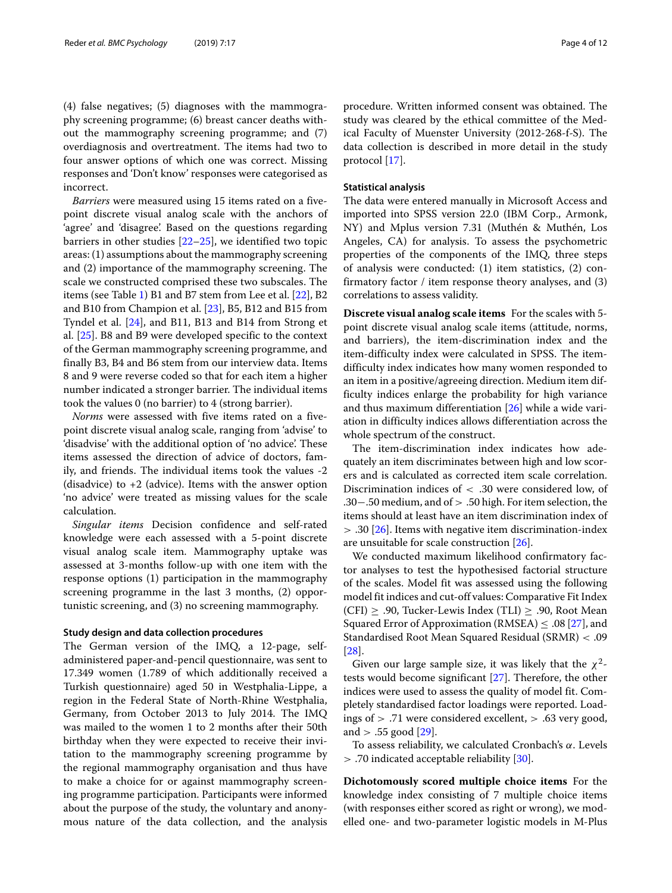(4) false negatives; (5) diagnoses with the mammography screening programme; (6) breast cancer deaths without the mammography screening programme; and (7) overdiagnosis and overtreatment. The items had two to four answer options of which one was correct. Missing responses and 'Don't know' responses were categorised as incorrect.

*Barriers* were measured using 15 items rated on a fivepoint discrete visual analog scale with the anchors of 'agree' and 'disagree'. Based on the questions regarding barriers in other studies  $[22-25]$  $[22-25]$ , we identified two topic areas: (1) assumptions about the mammography screening and (2) importance of the mammography screening. The scale we constructed comprised these two subscales. The items (see Table [1\)](#page-4-0) B1 and B7 stem from Lee et al. [\[22\]](#page-10-21), B2 and B10 from Champion et al. [\[23\]](#page-10-23), B5, B12 and B15 from Tyndel et al. [\[24\]](#page-10-24), and B11, B13 and B14 from Strong et al. [\[25\]](#page-10-22). B8 and B9 were developed specific to the context of the German mammography screening programme, and finally B3, B4 and B6 stem from our interview data. Items 8 and 9 were reverse coded so that for each item a higher number indicated a stronger barrier. The individual items took the values 0 (no barrier) to 4 (strong barrier).

*Norms* were assessed with five items rated on a fivepoint discrete visual analog scale, ranging from 'advise' to 'disadvise' with the additional option of 'no advice'. These items assessed the direction of advice of doctors, family, and friends. The individual items took the values -2 (disadvice) to  $+2$  (advice). Items with the answer option 'no advice' were treated as missing values for the scale calculation.

*Singular items* Decision confidence and self-rated knowledge were each assessed with a 5-point discrete visual analog scale item. Mammography uptake was assessed at 3-months follow-up with one item with the response options (1) participation in the mammography screening programme in the last 3 months, (2) opportunistic screening, and (3) no screening mammography.

## **Study design and data collection procedures**

The German version of the IMQ, a 12-page, selfadministered paper-and-pencil questionnaire, was sent to 17.349 women (1.789 of which additionally received a Turkish questionnaire) aged 50 in Westphalia-Lippe, a region in the Federal State of North-Rhine Westphalia, Germany, from October 2013 to July 2014. The IMQ was mailed to the women 1 to 2 months after their 50th birthday when they were expected to receive their invitation to the mammography screening programme by the regional mammography organisation and thus have to make a choice for or against mammography screening programme participation. Participants were informed about the purpose of the study, the voluntary and anonymous nature of the data collection, and the analysis

procedure. Written informed consent was obtained. The study was cleared by the ethical committee of the Medical Faculty of Muenster University (2012-268-f-S). The data collection is described in more detail in the study protocol [\[17\]](#page-10-16).

## **Statistical analysis**

The data were entered manually in Microsoft Access and imported into SPSS version 22.0 (IBM Corp., Armonk, NY) and Mplus version 7.31 (Muthén & Muthén, Los Angeles, CA) for analysis. To assess the psychometric properties of the components of the IMQ, three steps of analysis were conducted: (1) item statistics, (2) confirmatory factor / item response theory analyses, and (3) correlations to assess validity.

**Discrete visual analog scale items** For the scales with 5 point discrete visual analog scale items (attitude, norms, and barriers), the item-discrimination index and the item-difficulty index were calculated in SPSS. The itemdifficulty index indicates how many women responded to an item in a positive/agreeing direction. Medium item difficulty indices enlarge the probability for high variance and thus maximum differentiation [\[26\]](#page-10-25) while a wide variation in difficulty indices allows differentiation across the whole spectrum of the construct.

The item-discrimination index indicates how adequately an item discriminates between high and low scorers and is calculated as corrected item scale correlation. Discrimination indices of < .30 were considered low, of .30−.50 medium, and of > .50 high. For item selection, the items should at least have an item discrimination index of > .30 [\[26\]](#page-10-25). Items with negative item discrimination-index are unsuitable for scale construction [\[26\]](#page-10-25).

We conducted maximum likelihood confirmatory factor analyses to test the hypothesised factorial structure of the scales. Model fit was assessed using the following model fit indices and cut-off values: Comparative Fit Index (CFI)  $\geq$  .90, Tucker-Lewis Index (TLI)  $\geq$  .90, Root Mean Squared Error of Approximation (RMSEA)  $\leq .08$  [\[27\]](#page-10-26), and Standardised Root Mean Squared Residual (SRMR) < .09 [\[28\]](#page-10-27).

Given our large sample size, it was likely that the  $\chi^2$ tests would become significant [\[27\]](#page-10-26). Therefore, the other indices were used to assess the quality of model fit. Completely standardised factor loadings were reported. Loadings of > .71 were considered excellent, > .63 very good, and  $> .55$  good [\[29\]](#page-10-28).

To assess reliability, we calculated Cronbach's α. Levels > .70 indicated acceptable reliability [\[30\]](#page-10-29).

**Dichotomously scored multiple choice items** For the knowledge index consisting of 7 multiple choice items (with responses either scored as right or wrong), we modelled one- and two-parameter logistic models in M-Plus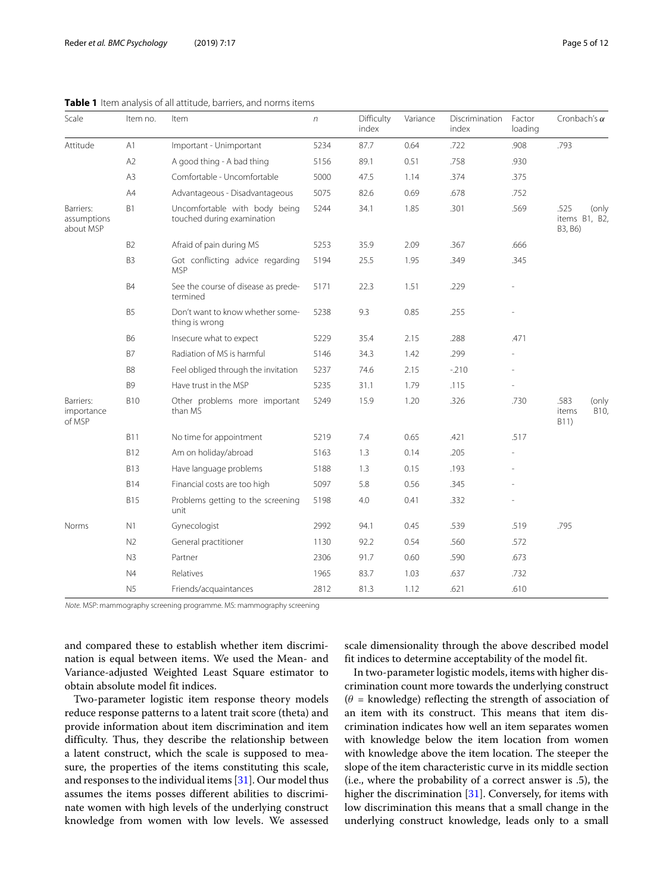<span id="page-4-0"></span>

| Scale                                 | Item no.       | Item                                                        | $\sqrt{n}$ | Difficulty<br>index | Variance | Discrimination<br>index | Factor<br>loading | Cronbach's $\alpha$                          |
|---------------------------------------|----------------|-------------------------------------------------------------|------------|---------------------|----------|-------------------------|-------------------|----------------------------------------------|
| Attitude                              | A <sub>1</sub> | Important - Unimportant                                     | 5234       | 87.7                | 0.64     | .722                    | .908              | .793                                         |
|                                       | A2             | A good thing - A bad thing                                  | 5156       | 89.1                | 0.51     | .758                    | .930              |                                              |
|                                       | A3             | Comfortable - Uncomfortable                                 | 5000       | 47.5                | 1.14     | .374                    | .375              |                                              |
|                                       | A4             | Advantageous - Disadvantageous                              | 5075       | 82.6                | 0.69     | .678                    | .752              |                                              |
| Barriers:<br>assumptions<br>about MSP | <b>B1</b>      | Uncomfortable with body being<br>touched during examination | 5244       | 34.1                | 1.85     | .301                    | .569              | .525<br>(only<br>items B1, B2,<br>B3, B6)    |
|                                       | <b>B2</b>      | Afraid of pain during MS                                    | 5253       | 35.9                | 2.09     | .367                    | .666              |                                              |
|                                       | B <sub>3</sub> | Got conflicting advice regarding<br><b>MSP</b>              | 5194       | 25.5                | 1.95     | .349                    | .345              |                                              |
|                                       | <b>B4</b>      | See the course of disease as prede-<br>termined             | 5171       | 22.3                | 1.51     | .229                    |                   |                                              |
|                                       | <b>B5</b>      | Don't want to know whether some-<br>thing is wrong          | 5238       | 9.3                 | 0.85     | .255                    |                   |                                              |
|                                       | <b>B6</b>      | Insecure what to expect                                     | 5229       | 35.4                | 2.15     | .288                    | .471              |                                              |
|                                       | <b>B7</b>      | Radiation of MS is harmful                                  | 5146       | 34.3                | 1.42     | .299                    |                   |                                              |
|                                       | B <sub>8</sub> | Feel obliged through the invitation                         | 5237       | 74.6                | 2.15     | $-210$                  |                   |                                              |
|                                       | B <sub>9</sub> | Have trust in the MSP                                       | 5235       | 31.1                | 1.79     | .115                    |                   |                                              |
| Barriers:<br>importance<br>of MSP     | <b>B10</b>     | Other problems more important<br>than MS                    | 5249       | 15.9                | 1.20     | .326                    | .730              | .583<br>(only<br><b>B10</b><br>items<br>B11) |
|                                       | <b>B11</b>     | No time for appointment                                     | 5219       | 7.4                 | 0.65     | .421                    | .517              |                                              |
|                                       | <b>B12</b>     | Am on holiday/abroad                                        | 5163       | 1.3                 | 0.14     | .205                    |                   |                                              |
|                                       | <b>B13</b>     | Have language problems                                      | 5188       | 1.3                 | 0.15     | .193                    |                   |                                              |
|                                       | <b>B14</b>     | Financial costs are too high                                | 5097       | 5.8                 | 0.56     | .345                    |                   |                                              |
|                                       | <b>B15</b>     | Problems getting to the screening<br>unit                   | 5198       | 4.0                 | 0.41     | .332                    |                   |                                              |
| Norms                                 | N1             | Gynecologist                                                | 2992       | 94.1                | 0.45     | .539                    | .519              | .795                                         |
|                                       | N <sub>2</sub> | General practitioner                                        | 1130       | 92.2                | 0.54     | .560                    | .572              |                                              |
|                                       | N3             | Partner                                                     | 2306       | 91.7                | 0.60     | .590                    | .673              |                                              |
|                                       | N4             | Relatives                                                   | 1965       | 83.7                | 1.03     | .637                    | .732              |                                              |
|                                       | N5             | Friends/acquaintances                                       | 2812       | 81.3                | 1.12     | .621                    | .610              |                                              |

## **Table 1** Item analysis of all attitude, barriers, and norms items

Note. MSP: mammography screening programme. MS: mammography screening

and compared these to establish whether item discrimination is equal between items. We used the Mean- and Variance-adjusted Weighted Least Square estimator to obtain absolute model fit indices.

Two-parameter logistic item response theory models reduce response patterns to a latent trait score (theta) and provide information about item discrimination and item difficulty. Thus, they describe the relationship between a latent construct, which the scale is supposed to measure, the properties of the items constituting this scale, and responses to the individual items  $[31]$ . Our model thus assumes the items posses different abilities to discriminate women with high levels of the underlying construct knowledge from women with low levels. We assessed

scale dimensionality through the above described model fit indices to determine acceptability of the model fit.

In two-parameter logistic models, items with higher discrimination count more towards the underlying construct  $(\theta =$  knowledge) reflecting the strength of association of an item with its construct. This means that item discrimination indicates how well an item separates women with knowledge below the item location from women with knowledge above the item location. The steeper the slope of the item characteristic curve in its middle section (i.e., where the probability of a correct answer is .5), the higher the discrimination [\[31\]](#page-11-0). Conversely, for items with low discrimination this means that a small change in the underlying construct knowledge, leads only to a small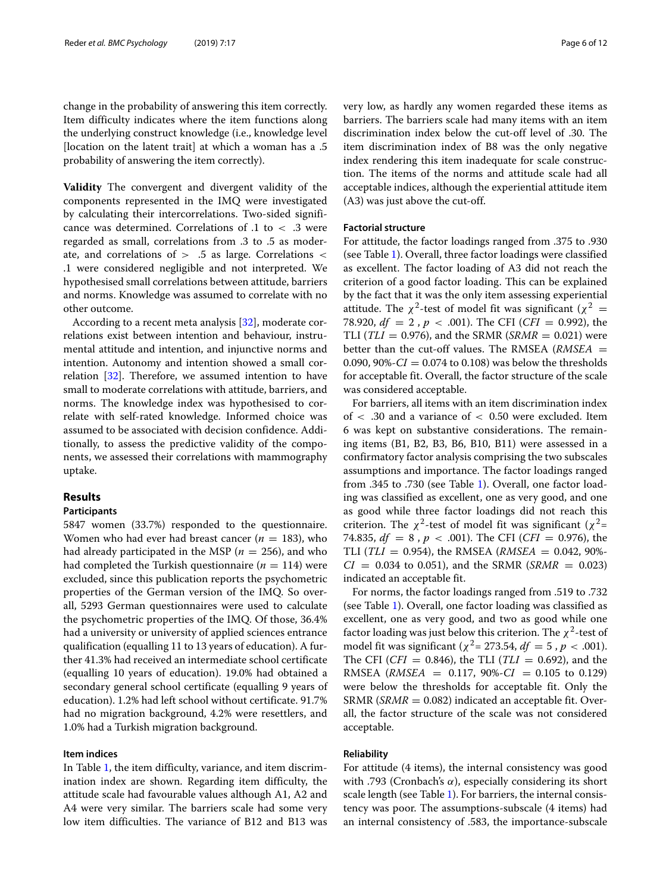change in the probability of answering this item correctly. Item difficulty indicates where the item functions along the underlying construct knowledge (i.e., knowledge level [location on the latent trait] at which a woman has a .5 probability of answering the item correctly).

**Validity** The convergent and divergent validity of the components represented in the IMQ were investigated by calculating their intercorrelations. Two-sided significance was determined. Correlations of .1 to < .3 were regarded as small, correlations from .3 to .5 as moderate, and correlations of  $> 0.5$  as large. Correlations  $<$ .1 were considered negligible and not interpreted. We hypothesised small correlations between attitude, barriers and norms. Knowledge was assumed to correlate with no other outcome.

According to a recent meta analysis [\[32\]](#page-11-1), moderate correlations exist between intention and behaviour, instrumental attitude and intention, and injunctive norms and intention. Autonomy and intention showed a small correlation [\[32\]](#page-11-1). Therefore, we assumed intention to have small to moderate correlations with attitude, barriers, and norms. The knowledge index was hypothesised to correlate with self-rated knowledge. Informed choice was assumed to be associated with decision confidence. Additionally, to assess the predictive validity of the components, we assessed their correlations with mammography uptake.

## **Results**

## **Participants**

5847 women (33.7%) responded to the questionnaire. Women who had ever had breast cancer ( $n = 183$ ), who had already participated in the MSP ( $n = 256$ ), and who had completed the Turkish questionnaire ( $n = 114$ ) were excluded, since this publication reports the psychometric properties of the German version of the IMQ. So overall, 5293 German questionnaires were used to calculate the psychometric properties of the IMQ. Of those, 36.4% had a university or university of applied sciences entrance qualification (equalling 11 to 13 years of education). A further 41.3% had received an intermediate school certificate (equalling 10 years of education). 19.0% had obtained a secondary general school certificate (equalling 9 years of education). 1.2% had left school without certificate. 91.7% had no migration background, 4.2% were resettlers, and 1.0% had a Turkish migration background.

## **Item indices**

In Table [1,](#page-4-0) the item difficulty, variance, and item discrimination index are shown. Regarding item difficulty, the attitude scale had favourable values although A1, A2 and A4 were very similar. The barriers scale had some very low item difficulties. The variance of B12 and B13 was

very low, as hardly any women regarded these items as barriers. The barriers scale had many items with an item discrimination index below the cut-off level of .30. The item discrimination index of B8 was the only negative index rendering this item inadequate for scale construction. The items of the norms and attitude scale had all acceptable indices, although the experiential attitude item (A3) was just above the cut-off.

## **Factorial structure**

For attitude, the factor loadings ranged from .375 to .930 (see Table [1\)](#page-4-0). Overall, three factor loadings were classified as excellent. The factor loading of A3 did not reach the criterion of a good factor loading. This can be explained by the fact that it was the only item assessing experiential attitude. The  $\chi^2$ -test of model fit was significant ( $\chi^2$  = 78.920,  $df = 2$ ,  $p < .001$ ). The CFI (*CFI* = 0.992), the TLI ( $TLI = 0.976$ ), and the SRMR ( $SRMR = 0.021$ ) were better than the cut-off values. The RMSEA (*RMSEA* = 0.090,  $90\% - CI = 0.074$  to 0.108) was below the thresholds for acceptable fit. Overall, the factor structure of the scale was considered acceptable.

For barriers, all items with an item discrimination index of < .30 and a variance of < 0.50 were excluded. Item 6 was kept on substantive considerations. The remaining items (B1, B2, B3, B6, B10, B11) were assessed in a confirmatory factor analysis comprising the two subscales assumptions and importance. The factor loadings ranged from .345 to .730 (see Table [1\)](#page-4-0). Overall, one factor loading was classified as excellent, one as very good, and one as good while three factor loadings did not reach this criterion. The  $\chi^2$ -test of model fit was significant ( $\chi^2$ = 74.835,  $df = 8$ ,  $p < .001$ ). The CFI (*CFI* = 0.976), the TLI (*TLI* = 0.954), the RMSEA (*RMSEA* = 0.042, 90%- $CI = 0.034$  to 0.051), and the SRMR (*SRMR* = 0.023) indicated an acceptable fit.

For norms, the factor loadings ranged from .519 to .732 (see Table [1\)](#page-4-0). Overall, one factor loading was classified as excellent, one as very good, and two as good while one factor loading was just below this criterion. The  $\chi^2$ -test of model fit was significant ( $\chi^2$  = 273.54,  $df = 5$ ,  $p < .001$ ). The CFI (*CFI* = 0.846), the TLI (*TLI* = 0.692), and the RMSEA (*RMSEA* = 0.117, 90%-*CI* = 0.105 to 0.129) were below the thresholds for acceptable fit. Only the  $SRMR$  (*SRMR* = 0.082) indicated an acceptable fit. Overall, the factor structure of the scale was not considered acceptable.

## **Reliability**

For attitude (4 items), the internal consistency was good with .793 (Cronbach's  $\alpha$ ), especially considering its short scale length (see Table [1\)](#page-4-0). For barriers, the internal consistency was poor. The assumptions-subscale (4 items) had an internal consistency of .583, the importance-subscale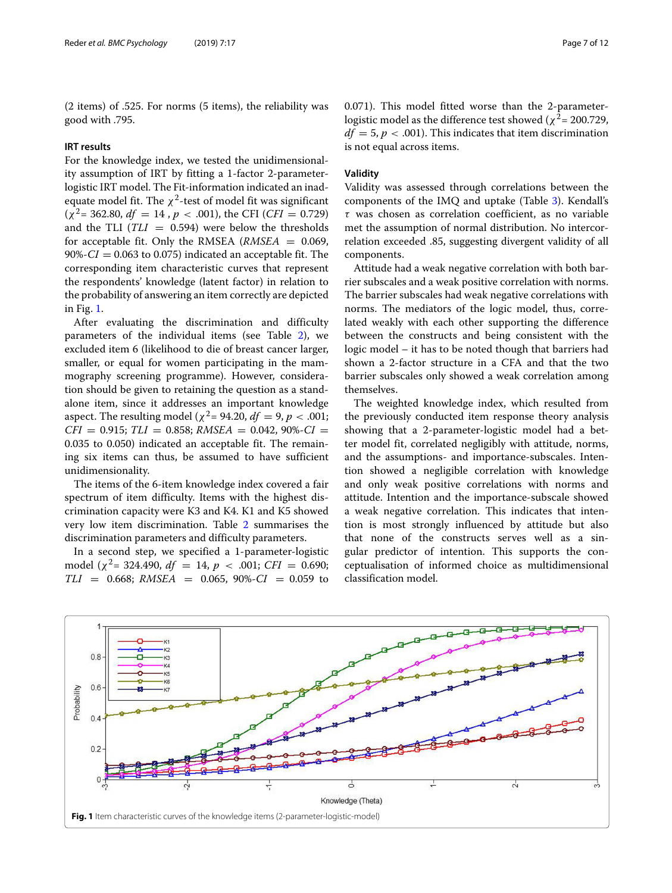(2 items) of .525. For norms (5 items), the reliability was good with .795.

## **IRT results**

For the knowledge index, we tested the unidimensionality assumption of IRT by fitting a 1-factor 2-parameterlogistic IRT model. The Fit-information indicated an inadequate model fit. The  $\chi^2$ -test of model fit was significant  $(\chi^2 = 362.80, df = 14, p < .001)$ , the CFI (*CFI* = 0.729) and the TLI  $(TLI = 0.594)$  were below the thresholds for acceptable fit. Only the RMSEA  $(RMSEA = 0.069,$  $90\% - CI = 0.063$  to 0.075) indicated an acceptable fit. The corresponding item characteristic curves that represent the respondents' knowledge (latent factor) in relation to the probability of answering an item correctly are depicted in Fig. [1.](#page-6-0)

After evaluating the discrimination and difficulty parameters of the individual items (see Table [2\)](#page-7-0), we excluded item 6 (likelihood to die of breast cancer larger, smaller, or equal for women participating in the mammography screening programme). However, consideration should be given to retaining the question as a standalone item, since it addresses an important knowledge aspect. The resulting model ( $\chi^2$  = 94.20, *df* = 9, *p* < .001;  $CFI = 0.915$ ;  $TLI = 0.858$ ; *RMSEA* = 0.042, 90%- $CI =$ 0.035 to 0.050) indicated an acceptable fit. The remaining six items can thus, be assumed to have sufficient unidimensionality.

The items of the 6-item knowledge index covered a fair spectrum of item difficulty. Items with the highest discrimination capacity were K3 and K4. K1 and K5 showed very low item discrimination. Table [2](#page-7-0) summarises the discrimination parameters and difficulty parameters.

In a second step, we specified a 1-parameter-logistic model ( $\chi^2$ = 324.490, *df* = 14, *p* < .001; *CFI* = 0.690;  $TLI = 0.668$ ;  $RMSEA = 0.065$ ,  $90\% - CI = 0.059$  to 0.071). This model fitted worse than the 2-parameterlogistic model as the difference test showed ( $\chi^2$  = 200.729,  $df = 5$ ,  $p < .001$ ). This indicates that item discrimination is not equal across items.

## **Validity**

Validity was assessed through correlations between the components of the IMQ and uptake (Table [3\)](#page-7-1). Kendall's  $\tau$  was chosen as correlation coefficient, as no variable met the assumption of normal distribution. No intercorrelation exceeded .85, suggesting divergent validity of all components.

Attitude had a weak negative correlation with both barrier subscales and a weak positive correlation with norms. The barrier subscales had weak negative correlations with norms. The mediators of the logic model, thus, correlated weakly with each other supporting the difference between the constructs and being consistent with the logic model – it has to be noted though that barriers had shown a 2-factor structure in a CFA and that the two barrier subscales only showed a weak correlation among themselves.

The weighted knowledge index, which resulted from the previously conducted item response theory analysis showing that a 2-parameter-logistic model had a better model fit, correlated negligibly with attitude, norms, and the assumptions- and importance-subscales. Intention showed a negligible correlation with knowledge and only weak positive correlations with norms and attitude. Intention and the importance-subscale showed a weak negative correlation. This indicates that intention is most strongly influenced by attitude but also that none of the constructs serves well as a singular predictor of intention. This supports the conceptualisation of informed choice as multidimensional classification model.

<span id="page-6-0"></span>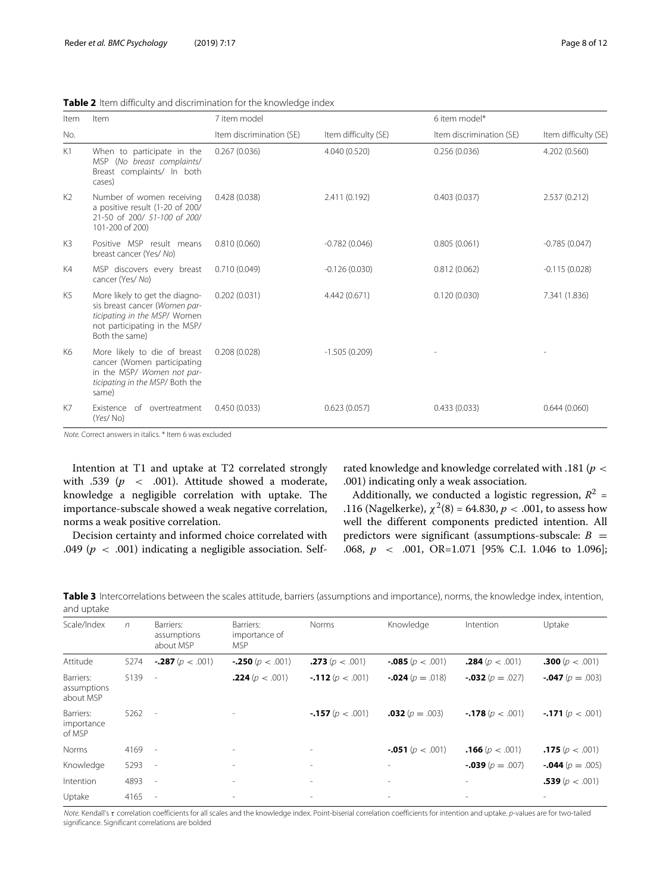| Item           | Item                                                                                                                                               | 7 item model             |                      | 6 item model*            |                      |  |  |
|----------------|----------------------------------------------------------------------------------------------------------------------------------------------------|--------------------------|----------------------|--------------------------|----------------------|--|--|
| No.            |                                                                                                                                                    | Item discrimination (SE) | Item difficulty (SE) | Item discrimination (SE) | Item difficulty (SE) |  |  |
| K1             | When to participate in the<br>MSP (No breast complaints/<br>Breast complaints/ In both<br>cases)                                                   | 0.267(0.036)             | 4.040 (0.520)        | 0.256(0.036)             | 4.202 (0.560)        |  |  |
| K <sub>2</sub> | Number of women receiving<br>a positive result (1-20 of 200/<br>21-50 of 200/ 51-100 of 200/<br>101-200 of 200)                                    | 0.428(0.038)             | 2.411 (0.192)        | 0.403(0.037)             | 2.537 (0.212)        |  |  |
| K3             | Positive MSP result means<br>breast cancer (Yes/ No)                                                                                               | 0.810(0.060)             | $-0.782(0.046)$      | 0.805(0.061)             | $-0.785(0.047)$      |  |  |
| K4             | MSP discovers every breast<br>cancer (Yes/No)                                                                                                      | 0.710(0.049)             | $-0.126(0.030)$      | 0.812(0.062)             | $-0.115(0.028)$      |  |  |
| K5             | More likely to get the diagno-<br>sis breast cancer (Women par-<br>ticipating in the MSP/ Women<br>not participating in the MSP/<br>Both the same) | 0.202(0.031)             | 4.442 (0.671)        | 0.120(0.030)             | 7.341 (1.836)        |  |  |
| K6             | More likely to die of breast<br>cancer (Women participating<br>in the MSP/ Women not par-<br>ticipating in the MSP/ Both the<br>same)              | 0.208(0.028)             | $-1.505(0.209)$      |                          |                      |  |  |
| K7             | Existence<br>of overtreatment<br>(Yes/No)                                                                                                          | 0.450(0.033)             | 0.623(0.057)         | 0.433(0.033)             | 0.644(0.060)         |  |  |

<span id="page-7-0"></span>**Table 2** Item difficulty and discrimination for the knowledge index

Note. Correct answers in italics. \* Item 6 was excluded

Intention at T1 and uptake at T2 correlated strongly with .539 ( $p \sim$  .001). Attitude showed a moderate, knowledge a negligible correlation with uptake. The importance-subscale showed a weak negative correlation, norms a weak positive correlation.

Decision certainty and informed choice correlated with .049 (*p* < .001) indicating a negligible association. Selfrated knowledge and knowledge correlated with .181 (*p* < .001) indicating only a weak association.

Additionally, we conducted a logistic regression,  $R^2$  = .116 (Nagelkerke),  $\chi^2(8) = 64.830, p < .001$ , to assess how well the different components predicted intention. All predictors were significant (assumptions-subscale:  $B =$ .068, *p* < .001, OR=1.071 [95% C.I. 1.046 to 1.096];

<span id="page-7-1"></span>**Table 3** Intercorrelations between the scales attitude, barriers (assumptions and importance), norms, the knowledge index, intention, and uptake

| Scale/Index                           | $\sqrt{n}$ | Barriers:<br>assumptions<br>about MSP | Barriers:<br>importance of<br><b>MSP</b> | Norms                      | Knowledge                  | Intention                  | Uptake                     |
|---------------------------------------|------------|---------------------------------------|------------------------------------------|----------------------------|----------------------------|----------------------------|----------------------------|
| Attitude                              | 5274       | $-287(p < .001)$                      | $-250(p < .001)$                         | <b>.273</b> ( $p < .001$ ) | $-0.085(p < .001)$         | <b>.284</b> ( $p < .001$ ) | <b>.300</b> ( $p < .001$ ) |
| Barriers:<br>assumptions<br>about MSP | 5139       | $\sim$                                | <b>.224</b> ( $p < .001$ )               | $-112(p < .001)$           | $-0.024(p=.018)$           | $-0.032(p=.027)$           | $-0.047$ ( $p = .003$ )    |
| Barriers:<br>importance<br>of MSP     | 5262       | $\sim$                                |                                          | $-157(p < .001)$           | <b>.032</b> ( $p = .003$ ) | $-178(p < .001)$           | $-171(p < .001)$           |
| Norms                                 | 4169       | $\sim$ $-$                            | $\overline{\phantom{a}}$                 | ۰                          | $-051(p < .001)$           | <b>.166</b> ( $p < .001$ ) | <b>.175</b> ( $p < .001$ ) |
| Knowledge                             | 5293       | $\sim$                                |                                          | ۰                          |                            | $-0.039(p=.007)$           | $-0.044(p=.005)$           |
| Intention                             | 4893       | $\sim$                                | $\sim$                                   | $\sim$                     | ٠                          | $\sim$                     | <b>.539</b> ( $p < .001$ ) |
| Uptake                                | 4165       | $\overline{\phantom{a}}$              |                                          |                            |                            |                            |                            |
|                                       |            |                                       |                                          |                            |                            |                            |                            |

Note. Kendall's τ correlation coefficients for all scales and the knowledge index. Point-biserial correlation coefficients for intention and uptake. p-values are for two-tailed significance. Significant correlations are bolded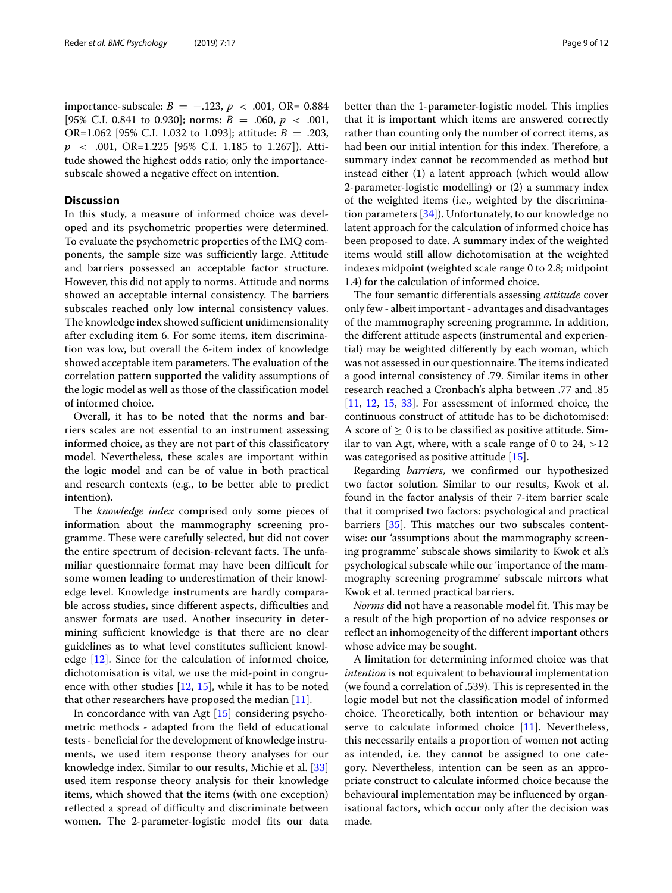importance-subscale: *B* = −.123, *p* < .001, OR= 0.884 [95% C.I. 0.841 to 0.930]; norms: *B* = .060, *p* < .001, OR=1.062 [95% C.I. 1.032 to 1.093]; attitude: *B* = .203, *p* < .001, OR=1.225 [95% C.I. 1.185 to 1.267]). Attitude showed the highest odds ratio; only the importancesubscale showed a negative effect on intention.

## **Discussion**

In this study, a measure of informed choice was developed and its psychometric properties were determined. To evaluate the psychometric properties of the IMQ components, the sample size was sufficiently large. Attitude and barriers possessed an acceptable factor structure. However, this did not apply to norms. Attitude and norms showed an acceptable internal consistency. The barriers subscales reached only low internal consistency values. The knowledge index showed sufficient unidimensionality after excluding item 6. For some items, item discrimination was low, but overall the 6-item index of knowledge showed acceptable item parameters. The evaluation of the correlation pattern supported the validity assumptions of the logic model as well as those of the classification model of informed choice.

Overall, it has to be noted that the norms and barriers scales are not essential to an instrument assessing informed choice, as they are not part of this classificatory model. Nevertheless, these scales are important within the logic model and can be of value in both practical and research contexts (e.g., to be better able to predict intention).

The *knowledge index* comprised only some pieces of information about the mammography screening programme. These were carefully selected, but did not cover the entire spectrum of decision-relevant facts. The unfamiliar questionnaire format may have been difficult for some women leading to underestimation of their knowledge level. Knowledge instruments are hardly comparable across studies, since different aspects, difficulties and answer formats are used. Another insecurity in determining sufficient knowledge is that there are no clear guidelines as to what level constitutes sufficient knowledge  $[12]$ . Since for the calculation of informed choice, dichotomisation is vital, we use the mid-point in congruence with other studies  $[12, 15]$  $[12, 15]$  $[12, 15]$ , while it has to be noted that other researchers have proposed the median [\[11\]](#page-10-10).

In concordance with van Agt [\[15\]](#page-10-14) considering psychometric methods - adapted from the field of educational tests - beneficial for the development of knowledge instruments, we used item response theory analyses for our knowledge index. Similar to our results, Michie et al. [\[33\]](#page-11-2) used item response theory analysis for their knowledge items, which showed that the items (with one exception) reflected a spread of difficulty and discriminate between women. The 2-parameter-logistic model fits our data better than the 1-parameter-logistic model. This implies that it is important which items are answered correctly rather than counting only the number of correct items, as had been our initial intention for this index. Therefore, a summary index cannot be recommended as method but instead either (1) a latent approach (which would allow 2-parameter-logistic modelling) or (2) a summary index of the weighted items (i.e., weighted by the discrimination parameters [\[34\]](#page-11-3)). Unfortunately, to our knowledge no latent approach for the calculation of informed choice has been proposed to date. A summary index of the weighted items would still allow dichotomisation at the weighted indexes midpoint (weighted scale range 0 to 2.8; midpoint 1.4) for the calculation of informed choice.

The four semantic differentials assessing *attitude* cover only few - albeit important - advantages and disadvantages of the mammography screening programme. In addition, the different attitude aspects (instrumental and experiential) may be weighted differently by each woman, which was not assessed in our questionnaire. The items indicated a good internal consistency of .79. Similar items in other research reached a Cronbach's alpha between .77 and .85 [\[11,](#page-10-10) [12,](#page-10-11) [15,](#page-10-14) [33\]](#page-11-2). For assessment of informed choice, the continuous construct of attitude has to be dichotomised: A score of  $\geq 0$  is to be classified as positive attitude. Similar to van Agt, where, with a scale range of 0 to  $24$ ,  $>12$ was categorised as positive attitude [\[15\]](#page-10-14).

Regarding *barriers*, we confirmed our hypothesized two factor solution. Similar to our results, Kwok et al. found in the factor analysis of their 7-item barrier scale that it comprised two factors: psychological and practical barriers [\[35\]](#page-11-4). This matches our two subscales contentwise: our 'assumptions about the mammography screening programme' subscale shows similarity to Kwok et al.'s psychological subscale while our 'importance of the mammography screening programme' subscale mirrors what Kwok et al. termed practical barriers.

*Norms* did not have a reasonable model fit. This may be a result of the high proportion of no advice responses or reflect an inhomogeneity of the different important others whose advice may be sought.

A limitation for determining informed choice was that *intention* is not equivalent to behavioural implementation (we found a correlation of .539). This is represented in the logic model but not the classification model of informed choice. Theoretically, both intention or behaviour may serve to calculate informed choice [\[11\]](#page-10-10). Nevertheless, this necessarily entails a proportion of women not acting as intended, i.e. they cannot be assigned to one category. Nevertheless, intention can be seen as an appropriate construct to calculate informed choice because the behavioural implementation may be influenced by organisational factors, which occur only after the decision was made.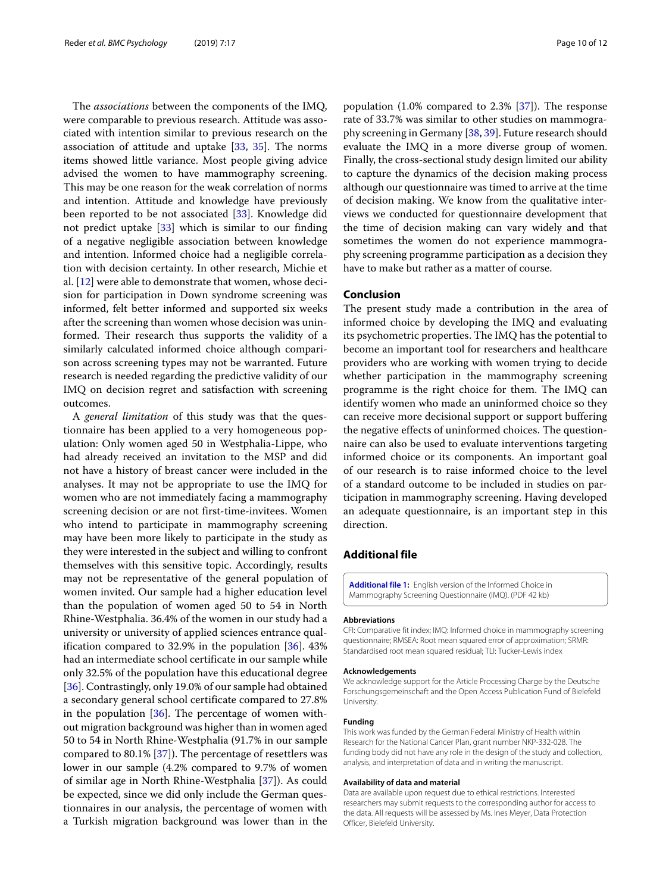The *associations* between the components of the IMQ, were comparable to previous research. Attitude was associated with intention similar to previous research on the association of attitude and uptake [\[33,](#page-11-2) [35\]](#page-11-4). The norms items showed little variance. Most people giving advice advised the women to have mammography screening. This may be one reason for the weak correlation of norms and intention. Attitude and knowledge have previously been reported to be not associated [\[33\]](#page-11-2). Knowledge did not predict uptake [\[33\]](#page-11-2) which is similar to our finding of a negative negligible association between knowledge and intention. Informed choice had a negligible correlation with decision certainty. In other research, Michie et al. [\[12\]](#page-10-11) were able to demonstrate that women, whose decision for participation in Down syndrome screening was informed, felt better informed and supported six weeks after the screening than women whose decision was uninformed. Their research thus supports the validity of a similarly calculated informed choice although comparison across screening types may not be warranted. Future research is needed regarding the predictive validity of our IMQ on decision regret and satisfaction with screening outcomes.

A *general limitation* of this study was that the questionnaire has been applied to a very homogeneous population: Only women aged 50 in Westphalia-Lippe, who had already received an invitation to the MSP and did not have a history of breast cancer were included in the analyses. It may not be appropriate to use the IMQ for women who are not immediately facing a mammography screening decision or are not first-time-invitees. Women who intend to participate in mammography screening may have been more likely to participate in the study as they were interested in the subject and willing to confront themselves with this sensitive topic. Accordingly, results may not be representative of the general population of women invited. Our sample had a higher education level than the population of women aged 50 to 54 in North Rhine-Westphalia. 36.4% of the women in our study had a university or university of applied sciences entrance qualification compared to 32.9% in the population [\[36\]](#page-11-5). 43% had an intermediate school certificate in our sample while only 32.5% of the population have this educational degree [\[36\]](#page-11-5). Contrastingly, only 19.0% of our sample had obtained a secondary general school certificate compared to 27.8% in the population  $[36]$ . The percentage of women without migration background was higher than in women aged 50 to 54 in North Rhine-Westphalia (91.7% in our sample compared to 80.1% [\[37\]](#page-11-6)). The percentage of resettlers was lower in our sample (4.2% compared to 9.7% of women of similar age in North Rhine-Westphalia [\[37\]](#page-11-6)). As could be expected, since we did only include the German questionnaires in our analysis, the percentage of women with a Turkish migration background was lower than in the

population (1.0% compared to 2.3% [\[37\]](#page-11-6)). The response rate of 33.7% was similar to other studies on mammography screening in Germany [\[38,](#page-11-7) [39\]](#page-11-8). Future research should evaluate the IMQ in a more diverse group of women. Finally, the cross-sectional study design limited our ability to capture the dynamics of the decision making process although our questionnaire was timed to arrive at the time of decision making. We know from the qualitative interviews we conducted for questionnaire development that the time of decision making can vary widely and that sometimes the women do not experience mammography screening programme participation as a decision they have to make but rather as a matter of course.

## **Conclusion**

The present study made a contribution in the area of informed choice by developing the IMQ and evaluating its psychometric properties. The IMQ has the potential to become an important tool for researchers and healthcare providers who are working with women trying to decide whether participation in the mammography screening programme is the right choice for them. The IMQ can identify women who made an uninformed choice so they can receive more decisional support or support buffering the negative effects of uninformed choices. The questionnaire can also be used to evaluate interventions targeting informed choice or its components. An important goal of our research is to raise informed choice to the level of a standard outcome to be included in studies on participation in mammography screening. Having developed an adequate questionnaire, is an important step in this direction.

## **Additional file**

<span id="page-9-0"></span>**[Additional file 1:](https://doi.org/s40359-019-0291-2)** English version of the Informed Choice in Mammography Screening Questionnaire (IMQ). (PDF 42 kb)

#### **Abbreviations**

CFI: Comparative fit index; IMQ: Informed choice in mammography screening questionnaire; RMSEA: Root mean squared error of approximation; SRMR: Standardised root mean squared residual; TLI: Tucker-Lewis index

#### **Acknowledgements**

We acknowledge support for the Article Processing Charge by the Deutsche Forschungsgemeinschaft and the Open Access Publication Fund of Bielefeld University.

#### **Funding**

This work was funded by the German Federal Ministry of Health within Research for the National Cancer Plan, grant number NKP-332-028. The funding body did not have any role in the design of the study and collection, analysis, and interpretation of data and in writing the manuscript.

## **Availability of data and material**

Data are available upon request due to ethical restrictions. Interested researchers may submit requests to the corresponding author for access to the data. All requests will be assessed by Ms. Ines Meyer, Data Protection Officer, Bielefeld University.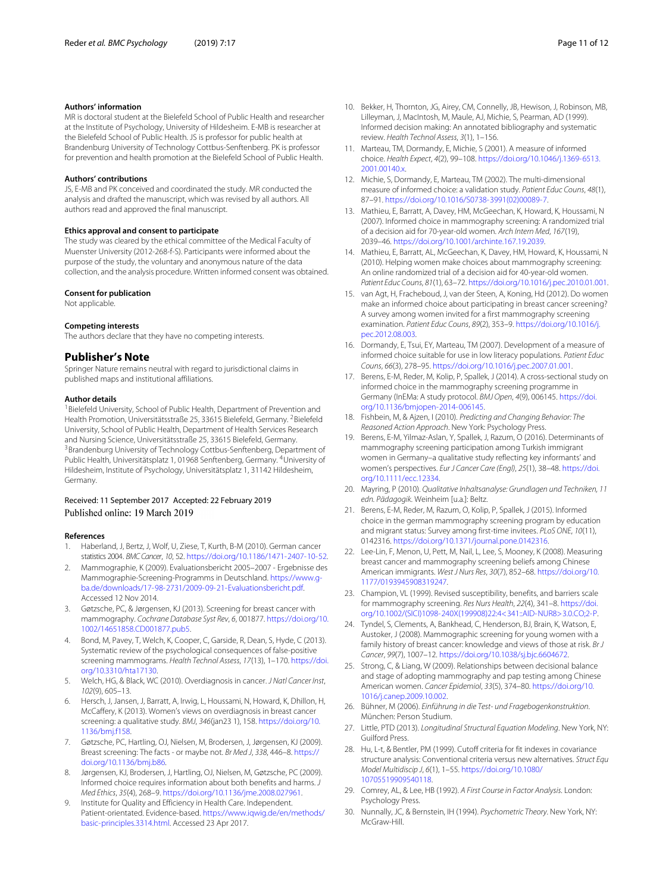## **Authors' information**

MR is doctoral student at the Bielefeld School of Public Health and researcher at the Institute of Psychology, University of Hildesheim. E-MB is researcher at the Bielefeld School of Public Health. JS is professor for public health at Brandenburg University of Technology Cottbus-Senftenberg. PK is professor for prevention and health promotion at the Bielefeld School of Public Health.

## **Authors' contributions**

JS, E-MB and PK conceived and coordinated the study. MR conducted the analysis and drafted the manuscript, which was revised by all authors. All authors read and approved the final manuscript.

#### **Ethics approval and consent to participate**

The study was cleared by the ethical committee of the Medical Faculty of Muenster University (2012-268-f-S). Participants were informed about the purpose of the study, the voluntary and anonymous nature of the data collection, and the analysis procedure. Written informed consent was obtained.

## **Consent for publication**

Not applicable.

## **Competing interests**

The authors declare that they have no competing interests.

## **Publisher's Note**

Springer Nature remains neutral with regard to jurisdictional claims in published maps and institutional affiliations.

## **Author details**

<sup>1</sup> Bielefeld University, School of Public Health, Department of Prevention and Health Promotion, Universitätsstraße 25, 33615 Bielefeld, Germany. <sup>2</sup>Bielefeld University, School of Public Health, Department of Health Services Research and Nursing Science, Universitätsstraße 25, 33615 Bielefeld, Germany. <sup>3</sup>Brandenburg University of Technology Cottbus-Senftenberg, Department of Public Health, Universitätsplatz 1, 01968 Senftenberg, Germany. 4University of Hildesheim, Institute of Psychology, Universitätsplatz 1, 31142 Hildesheim, Germany.

## Received: 11 September 2017 Accepted: 22 February 2019 Published online: 19 March 2019

## **References**

- <span id="page-10-0"></span>Haberland, J, Bertz, J, Wolf, U, Ziese, T, Kurth, B-M (2010). German cancer statistics 2004. BMC Cancer, 10, 52. [https://doi.org/10.1186/1471-2407-10-52.](https://doi.org/10.1186/1471-2407-10-52)
- <span id="page-10-1"></span>2. Mammographie, K (2009). Evaluationsbericht 2005–2007 - Ergebnisse des Mammographie-Screening-Programms in Deutschland. [https://www.g](https://www.g-ba.de/downloads/17-98-2731/2009-09-21-Evaluationsbericht.pdf)[ba.de/downloads/17-98-2731/2009-09-21-Evaluationsbericht.pdf.](https://www.g-ba.de/downloads/17-98-2731/2009-09-21-Evaluationsbericht.pdf) Accessed 12 Nov 2014.
- <span id="page-10-2"></span>3. Gøtzsche, PC, & Jørgensen, KJ (2013). Screening for breast cancer with mammography. Cochrane Database Syst Rev, 6, 001877. [https://doi.org/10.](https://doi.org/10.1002/14651858.CD001877.pub5) [1002/14651858.CD001877.pub5.](https://doi.org/10.1002/14651858.CD001877.pub5)
- <span id="page-10-3"></span>4. Bond, M, Pavey, T, Welch, K, Cooper, C, Garside, R, Dean, S, Hyde, C (2013). Systematic review of the psychological consequences of false-positive screening mammograms. Health Technol Assess, 17(13), 1-170. [https://doi.](https://doi.org/10.3310/hta17130) [org/10.3310/hta17130.](https://doi.org/10.3310/hta17130)
- <span id="page-10-4"></span>5. Welch, HG, & Black, WC (2010). Overdiagnosis in cancer. J Natl Cancer Inst, 102(9), 605–13.
- <span id="page-10-5"></span>6. Hersch, J, Jansen, J, Barratt, A, Irwig, L, Houssami, N, Howard, K, Dhillon, H, McCaffery, K (2013). Women's views on overdiagnosis in breast cancer screening: a qualitative study. BMJ, 346(jan23 1), 158. [https://doi.org/10.](https://doi.org/10.1136/bmj.f158) [1136/bmj.f158.](https://doi.org/10.1136/bmj.f158)
- <span id="page-10-6"></span>7. Gøtzsche, PC, Hartling, OJ, Nielsen, M, Brodersen, J, Jørgensen, KJ (2009). Breast screening: The facts - or maybe not. Br Med J, 338, 446–8. [https://](https://doi.org/10.1136/bmj.b86) [doi.org/10.1136/bmj.b86.](https://doi.org/10.1136/bmj.b86)
- <span id="page-10-7"></span>8. Jørgensen, KJ, Brodersen, J, Hartling, OJ, Nielsen, M, Gøtzsche, PC (2009). Informed choice requires information about both benefits and harms. J Med Ethics, 35(4), 268–9. [https://doi.org/10.1136/jme.2008.027961.](https://doi.org/10.1136/jme.2008.027961)
- <span id="page-10-8"></span>9. Institute for Quality and Efficiency in Health Care. Independent. Patient-orientated. Evidence-based. [https://www.iqwig.de/en/methods/](https://www.iqwig.de/en/methods/basic-principles.3314.html) [basic-principles.3314.html.](https://www.iqwig.de/en/methods/basic-principles.3314.html) Accessed 23 Apr 2017.
- <span id="page-10-9"></span>10. Bekker, H, Thornton, JG, Airey, CM, Connelly, JB, Hewison, J, Robinson, MB, Lilleyman, J, MacIntosh, M, Maule, AJ, Michie, S, Pearman, AD (1999). Informed decision making: An annotated bibliography and systematic review. Health Technol Assess, 3(1), 1–156.
- <span id="page-10-10"></span>11. Marteau, TM, Dormandy, E, Michie, S (2001). A measure of informed choice. Health Expect, 4(2), 99–108. [https://doi.org/10.1046/j.1369-6513.](https://doi.org/10.1046/j.1369-6513.2001.00140.x) [2001.00140.x.](https://doi.org/10.1046/j.1369-6513.2001.00140.x)
- <span id="page-10-11"></span>12. Michie, S, Dormandy, E, Marteau, TM (2002). The multi-dimensional measure of informed choice: a validation study. Patient Educ Couns, 48(1), 87–91. [https://doi.org/10.1016/S0738-3991\(02\)00089-7.](https://doi.org/10.1016/S0738-3991(02)00089-7)
- <span id="page-10-12"></span>13. Mathieu, E, Barratt, A, Davey, HM, McGeechan, K, Howard, K, Houssami, N (2007). Informed choice in mammography screening: A randomized trial of a decision aid for 70-year-old women. Arch Intern Med, 167(19), 2039–46. [https://doi.org/10.1001/archinte.167.19.2039.](https://doi.org/10.1001/archinte.167.19.2039)
- <span id="page-10-13"></span>14. Mathieu, E, Barratt, AL, McGeechan, K, Davey, HM, Howard, K, Houssami, N (2010). Helping women make choices about mammography screening: An online randomized trial of a decision aid for 40-year-old women. Patient Educ Couns, 81(1), 63–72. [https://doi.org/10.1016/j.pec.2010.01.001.](https://doi.org/10.1016/j.pec.2010.01.001)
- <span id="page-10-14"></span>15. van Agt, H, Fracheboud, J, van der Steen, A, Koning, Hd (2012). Do women make an informed choice about participating in breast cancer screening? A survey among women invited for a first mammography screening examination. Patient Educ Couns, 89(2), 353–9. [https://doi.org/10.1016/j.](https://doi.org/10.1016/j.pec.2012.08.003) [pec.2012.08.003.](https://doi.org/10.1016/j.pec.2012.08.003)
- <span id="page-10-15"></span>16. Dormandy, E, Tsui, EY, Marteau, TM (2007). Development of a measure of informed choice suitable for use in low literacy populations. Patient Educ Couns, 66(3), 278–95. [https://doi.org/10.1016/j.pec.2007.01.001.](https://doi.org/10.1016/j.pec.2007.01.001)
- <span id="page-10-16"></span>17. Berens, E-M, Reder, M, Kolip, P, Spallek, J (2014). A cross-sectional study on informed choice in the mammography screening programme in Germany (InEMa: A study protocol. BMJ Open, 4(9), 006145. [https://doi.](https://doi.org/10.1136/bmjopen-2014-006145) [org/10.1136/bmjopen-2014-006145.](https://doi.org/10.1136/bmjopen-2014-006145)
- <span id="page-10-17"></span>18. Fishbein, M, & Ajzen, I (2010). Predicting and Changing Behavior: The Reasoned Action Approach. New York: Psychology Press.
- <span id="page-10-18"></span>19. Berens, E-M, Yilmaz-Aslan, Y, Spallek, J, Razum, O (2016). Determinants of mammography screening participation among Turkish immigrant women in Germany–a qualitative study reflecting key informants' and women's perspectives. Eur J Cancer Care (Engl), 25(1), 38–48. [https://doi.](https://doi.org/10.1111/ecc.12334) [org/10.1111/ecc.12334.](https://doi.org/10.1111/ecc.12334)
- <span id="page-10-19"></span>20. Mayring, P (2010). Qualitative Inhaltsanalyse: Grundlagen und Techniken, 11 edn. Pädagogik. Weinheim [u.a.]: Beltz.
- <span id="page-10-20"></span>21. Berens, E-M, Reder, M, Razum, O, Kolip, P, Spallek, J (2015). Informed choice in the german mammography screening program by education and migrant status: Survey among first-time invitees. PLoS ONE, 10(11), 0142316. [https://doi.org/10.1371/journal.pone.0142316.](https://doi.org/10.1371/journal.pone.0142316)
- <span id="page-10-21"></span>22. Lee-Lin, F, Menon, U, Pett, M, Nail, L, Lee, S, Mooney, K (2008). Measuring breast cancer and mammography screening beliefs among Chinese American immigrants. West J Nurs Res, 30(7), 852–68. [https://doi.org/10.](https://doi.org/10.1177/0193945908319247) [1177/0193945908319247.](https://doi.org/10.1177/0193945908319247)
- <span id="page-10-23"></span>23. Champion, VL (1999). Revised susceptibility, benefits, and barriers scale for mammography screening. Res Nurs Health, 22(4), 341–8. [https://doi.](https://doi.org/10.1002/(SICI)1098-240X(199908)22:4<341::AID-NUR8>3.0.CO;2-P) [org/10.1002/\(SICI\)1098-240X\(199908\)22:4<341::AID-NUR8>3.0.CO;2-P.](https://doi.org/10.1002/(SICI)1098-240X(199908)22:4<341::AID-NUR8>3.0.CO;2-P)
- <span id="page-10-24"></span>24. Tyndel, S, Clements, A, Bankhead, C, Henderson, BJ, Brain, K, Watson, E, Austoker, J (2008). Mammographic screening for young women with a family history of breast cancer: knowledge and views of those at risk. Br J Cancer, 99(7), 1007–12. [https://doi.org/10.1038/sj.bjc.6604672.](https://doi.org/10.1038/sj.bjc.6604672)
- <span id="page-10-22"></span>25. Strong, C, & Liang, W (2009). Relationships between decisional balance and stage of adopting mammography and pap testing among Chinese American women. Cancer Epidemiol, 33(5), 374–80. [https://doi.org/10.](https://doi.org/10.1016/j.canep.2009.10.002) [1016/j.canep.2009.10.002.](https://doi.org/10.1016/j.canep.2009.10.002)
- <span id="page-10-25"></span>26. Bühner, M (2006). Einführung in die Test- und Fragebogenkonstruktion. München: Person Studium.
- <span id="page-10-26"></span>27. Little, PTD (2013). Longitudinal Structural Equation Modeling. New York, NY: Guilford Press.
- <span id="page-10-27"></span>28. Hu, L-t, & Bentler, PM (1999). Cutoff criteria for fit indexes in covariance structure analysis: Conventional criteria versus new alternatives. Struct Equ Model Multidiscip J, 6(1), 1–55. [https://doi.org/10.1080/](https://doi.org/10.1080/10705519909540118) [10705519909540118.](https://doi.org/10.1080/10705519909540118)
- <span id="page-10-28"></span>29. Comrey, AL, & Lee, HB (1992). A First Course in Factor Analysis. London: Psychology Press.
- <span id="page-10-29"></span>30. Nunnally, JC, & Bernstein, IH (1994). Psychometric Theory. New York, NY: McGraw-Hill.